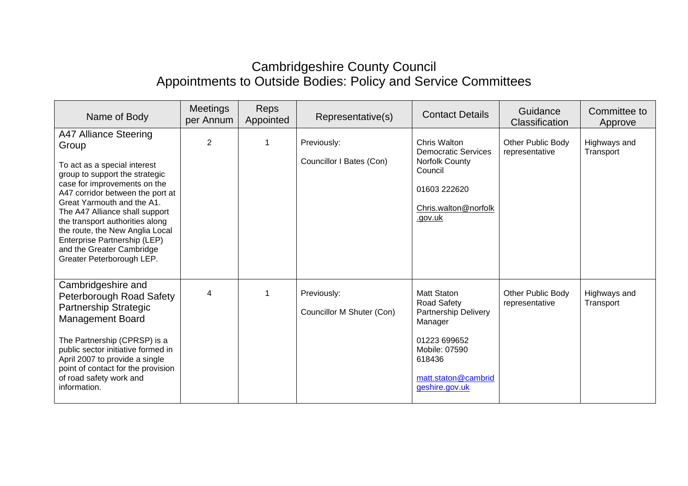## Cambridgeshire County Council Appointments to Outside Bodies: Policy and Service Committees

| Name of Body                                                                                                                                                                                                                                                                                                                                                                                         | <b>Meetings</b><br>per Annum | Reps<br>Appointed | Representative(s)                        | <b>Contact Details</b>                                                                                                                                   | Guidance<br>Classification          | Committee to<br>Approve   |
|------------------------------------------------------------------------------------------------------------------------------------------------------------------------------------------------------------------------------------------------------------------------------------------------------------------------------------------------------------------------------------------------------|------------------------------|-------------------|------------------------------------------|----------------------------------------------------------------------------------------------------------------------------------------------------------|-------------------------------------|---------------------------|
| A47 Alliance Steering<br>Group<br>To act as a special interest<br>group to support the strategic<br>case for improvements on the<br>A47 corridor between the port at<br>Great Yarmouth and the A1.<br>The A47 Alliance shall support<br>the transport authorities along<br>the route, the New Anglia Local<br>Enterprise Partnership (LEP)<br>and the Greater Cambridge<br>Greater Peterborough LEP. | $\overline{2}$               | 1                 | Previously:<br>Councillor I Bates (Con)  | Chris Walton<br><b>Democratic Services</b><br>Norfolk County<br>Council<br>01603 222620<br>Chris.walton@norfolk<br>.gov.uk                               | Other Public Body<br>representative | Highways and<br>Transport |
| Cambridgeshire and<br><b>Peterborough Road Safety</b><br>Partnership Strategic<br><b>Management Board</b><br>The Partnership (CPRSP) is a<br>public sector initiative formed in<br>April 2007 to provide a single<br>point of contact for the provision<br>of road safety work and<br>information.                                                                                                   | 4                            | 1                 | Previously:<br>Councillor M Shuter (Con) | <b>Matt Staton</b><br>Road Safety<br>Partnership Delivery<br>Manager<br>01223 699652<br>Mobile: 07590<br>618436<br>matt.staton@cambrid<br>geshire.gov.uk | Other Public Body<br>representative | Highways and<br>Transport |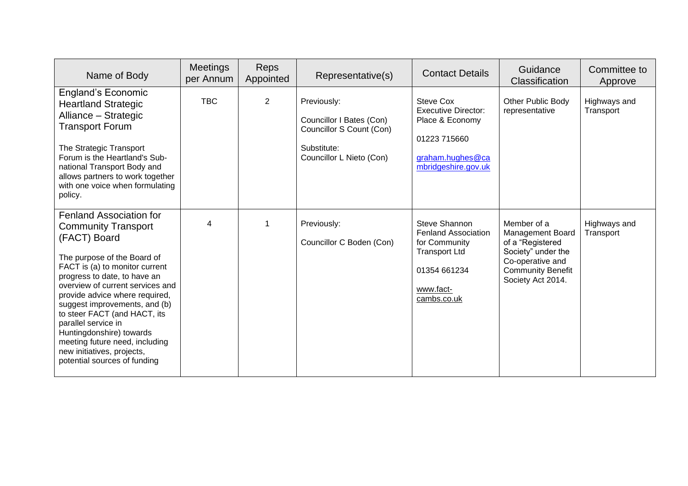| Name of Body                                                                                                                                                                                                                                                                                                                                                                                                                                                            | <b>Meetings</b><br>per Annum | <b>Reps</b><br>Appointed | Representative(s)                                                                                              | <b>Contact Details</b>                                                                                                           | Guidance<br>Classification                                                                                                                            | Committee to<br>Approve   |
|-------------------------------------------------------------------------------------------------------------------------------------------------------------------------------------------------------------------------------------------------------------------------------------------------------------------------------------------------------------------------------------------------------------------------------------------------------------------------|------------------------------|--------------------------|----------------------------------------------------------------------------------------------------------------|----------------------------------------------------------------------------------------------------------------------------------|-------------------------------------------------------------------------------------------------------------------------------------------------------|---------------------------|
| <b>England's Economic</b><br><b>Heartland Strategic</b><br>Alliance - Strategic<br><b>Transport Forum</b><br>The Strategic Transport<br>Forum is the Heartland's Sub-<br>national Transport Body and<br>allows partners to work together<br>with one voice when formulating<br>policy.                                                                                                                                                                                  | <b>TBC</b>                   | 2                        | Previously:<br>Councillor I Bates (Con)<br>Councillor S Count (Con)<br>Substitute:<br>Councillor L Nieto (Con) | Steve Cox<br><b>Executive Director:</b><br>Place & Economy<br>01223 715660<br>graham.hughes@ca<br>mbridgeshire.gov.uk            | Other Public Body<br>representative                                                                                                                   | Highways and<br>Transport |
| <b>Fenland Association for</b><br><b>Community Transport</b><br>(FACT) Board<br>The purpose of the Board of<br>FACT is (a) to monitor current<br>progress to date, to have an<br>overview of current services and<br>provide advice where required,<br>suggest improvements, and (b)<br>to steer FACT (and HACT, its<br>parallel service in<br>Huntingdonshire) towards<br>meeting future need, including<br>new initiatives, projects,<br>potential sources of funding | 4                            | 1                        | Previously:<br>Councillor C Boden (Con)                                                                        | Steve Shannon<br><b>Fenland Association</b><br>for Community<br><b>Transport Ltd</b><br>01354 661234<br>www.fact-<br>cambs.co.uk | Member of a<br><b>Management Board</b><br>of a "Registered<br>Society" under the<br>Co-operative and<br><b>Community Benefit</b><br>Society Act 2014. | Highways and<br>Transport |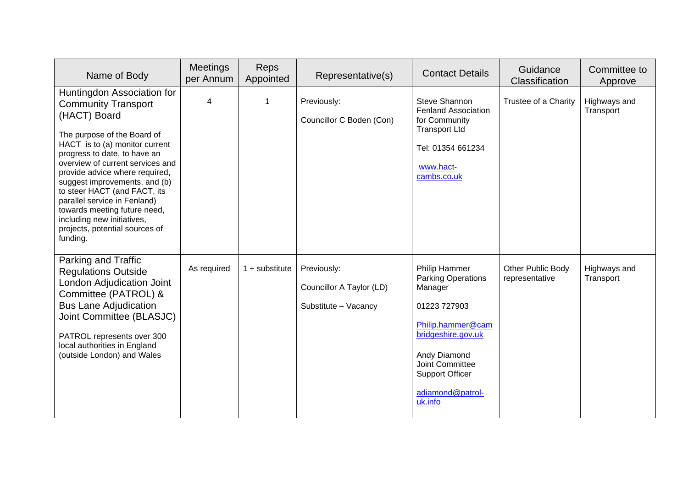| Name of Body                                                                                                                                                                                                                                                                                                                                                                                                                                                 | Meetings<br>per Annum | Reps<br>Appointed | Representative(s)                                               | <b>Contact Details</b>                                                                                                                                                                                       | Guidance<br>Classification          | Committee to<br>Approve   |
|--------------------------------------------------------------------------------------------------------------------------------------------------------------------------------------------------------------------------------------------------------------------------------------------------------------------------------------------------------------------------------------------------------------------------------------------------------------|-----------------------|-------------------|-----------------------------------------------------------------|--------------------------------------------------------------------------------------------------------------------------------------------------------------------------------------------------------------|-------------------------------------|---------------------------|
| Huntingdon Association for<br><b>Community Transport</b><br>(HACT) Board<br>The purpose of the Board of<br>HACT is to (a) monitor current<br>progress to date, to have an<br>overview of current services and<br>provide advice where required,<br>suggest improvements, and (b)<br>to steer HACT (and FACT, its<br>parallel service in Fenland)<br>towards meeting future need,<br>including new initiatives,<br>projects, potential sources of<br>funding. | 4                     | $\mathbf{1}$      | Previously:<br>Councillor C Boden (Con)                         | Steve Shannon<br><b>Fenland Association</b><br>for Community<br><b>Transport Ltd</b><br>Tel: 01354 661234<br>www.hact-<br>cambs.co.uk                                                                        | Trustee of a Charity                | Highways and<br>Transport |
| Parking and Traffic<br><b>Regulations Outside</b><br>London Adjudication Joint<br>Committee (PATROL) &<br><b>Bus Lane Adjudication</b><br>Joint Committee (BLASJC)<br>PATROL represents over 300<br>local authorities in England<br>(outside London) and Wales                                                                                                                                                                                               | As required           | $1 +$ substitute  | Previously:<br>Councillor A Taylor (LD)<br>Substitute - Vacancy | Philip Hammer<br><b>Parking Operations</b><br>Manager<br>01223 727903<br>Philip.hammer@cam<br>bridgeshire.gov.uk<br>Andy Diamond<br>Joint Committee<br><b>Support Officer</b><br>adiamond@patrol-<br>uk.info | Other Public Body<br>representative | Highways and<br>Transport |